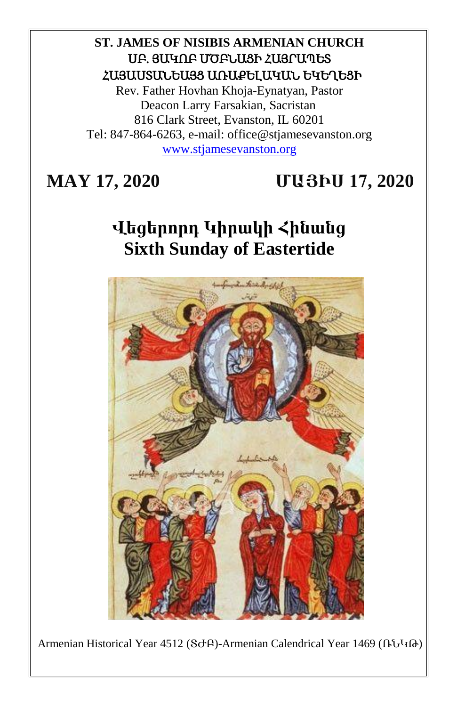## **ST. JAMES OF NISIBIS ARMENIAN CHURCH** ՍԲ. ՅԱԿՈԲ ՄԾԲՆԱՑԻ ՀԱՅՐԱՊԵՏ ՀԱՅԱՍՏԱՆԵԱՅՑ ԱՌԱՔԵԼԱԿԱՆ ԵԿԵՂԵՑԻ

Rev. Father Hovhan Khoja-Eynatyan, Pastor Deacon Larry Farsakian, Sacristan 816 Clark Street, Evanston, IL 60201 Tel: 847-864-6263, e-mail: office@stjamesevanston.org [www.stjamesevanston.org](http://www.stjamesevanston.org/)

# **MAY 17, 2020 ՄԱՅԻՍ 17, 2020**

# **Վեցերորդ Կիրակի Հինանց Sixth Sunday of Eastertide**



Armenian Historical Year 4512 (ՏԺԲ)-Armenian Calendrical Year 1469 (ՌՆԿԹ)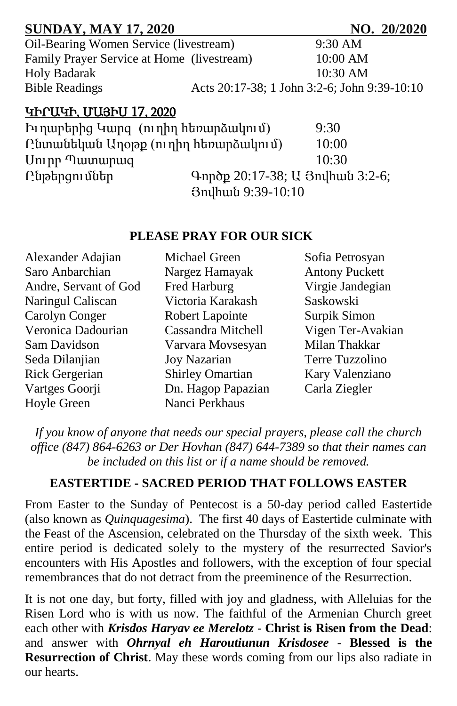| <b>SUNDAY, MAY 17, 2020</b>                |                                 | NO. 20/2020                                  |
|--------------------------------------------|---------------------------------|----------------------------------------------|
| Oil-Bearing Women Service (livestream)     |                                 | $9:30$ AM                                    |
| Family Prayer Service at Home (livestream) |                                 | 10:00 AM                                     |
| <b>Holy Badarak</b>                        |                                 | 10:30 AM                                     |
| <b>Bible Readings</b>                      |                                 | Acts 20:17-38; 1 John 3:2-6; John 9:39-10:10 |
| ԿԻՐԱԿԻ, ՄԱՅԻՍ 17, 2020                     |                                 |                                              |
| Իւղաբերից Կարգ (ուղիղ հեռարձակում)         |                                 | 9:30                                         |
| Ընտանեկան Արօթք (ուղիղ հեռարձակում)        |                                 | 10:00                                        |
| Uning Tuununung                            |                                 | 10:30                                        |
| Ընթերցումներ                               | Գործք 20:17-38; U Յովհան 3:2-6; |                                              |
|                                            | 3nylhuu 9:39-10:10              |                                              |

#### **PLEASE PRAY FOR OUR SICK**

| Alexander Adajian     | Michael Green           | Sofia Petrosyan       |
|-----------------------|-------------------------|-----------------------|
| Saro Anbarchian       | Nargez Hamayak          | <b>Antony Puckett</b> |
| Andre, Servant of God | Fred Harburg            | Virgie Jandegian      |
| Naringul Caliscan     | Victoria Karakash       | Saskowski             |
| Carolyn Conger        | Robert Lapointe         | Surpik Simon          |
| Veronica Dadourian    | Cassandra Mitchell      | Vigen Ter-Avakian     |
| Sam Davidson          | Varvara Movsesyan       | Milan Thakkar         |
| Seda Dilanjian        | <b>Joy Nazarian</b>     | Terre Tuzzolino       |
| Rick Gergerian        | <b>Shirley Omartian</b> | Kary Valenziano       |
| Vartges Goorji        | Dn. Hagop Papazian      | Carla Ziegler         |
| Hoyle Green           | Nanci Perkhaus          |                       |

*If you know of anyone that needs our special prayers, please call the church office (847) 864-6263 or Der Hovhan (847) 644-7389 so that their names can be included on this list or if a name should be removed.*

## **EASTERTIDE - SACRED PERIOD THAT FOLLOWS EASTER**

From Easter to the Sunday of Pentecost is a 50-day period called Eastertide (also known as *Quinquagesima*). The first 40 days of Eastertide culminate with the Feast of the Ascension, celebrated on the Thursday of the sixth week. This entire period is dedicated solely to the mystery of the resurrected Savior's encounters with His Apostles and followers, with the exception of four special remembrances that do not detract from the preeminence of the Resurrection.

It is not one day, but forty, filled with joy and gladness, with Alleluias for the Risen Lord who is with us now. The faithful of the Armenian Church greet each other with *Krisdos Haryav ee Merelotz* - **Christ is Risen from the Dead**: and answer with *Ohrnyal eh Haroutiunun Krisdosee* - **Blessed is the Resurrection of Christ**. May these words coming from our lips also radiate in our hearts.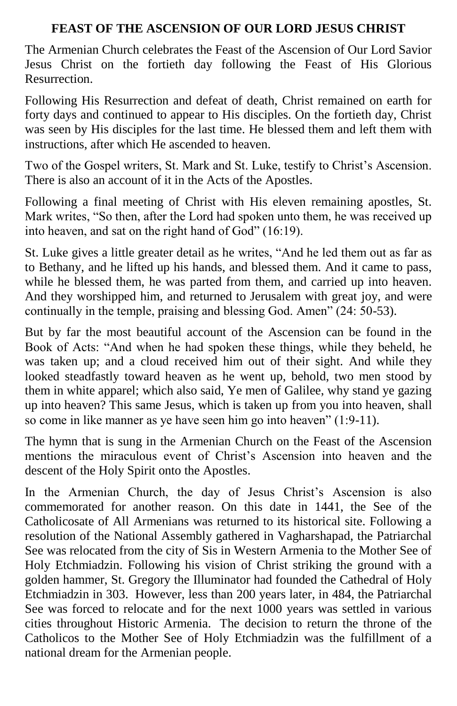## **FEAST OF THE ASCENSION OF OUR LORD JESUS CHRIST**

The Armenian Church celebrates the Feast of the Ascension of Our Lord Savior Jesus Christ on the fortieth day following the Feast of His Glorious Resurrection.

Following His Resurrection and defeat of death, Christ remained on earth for forty days and continued to appear to His disciples. On the fortieth day, Christ was seen by His disciples for the last time. He blessed them and left them with instructions, after which He ascended to heaven.

Two of the Gospel writers, St. Mark and St. Luke, testify to Christ's Ascension. There is also an account of it in the Acts of the Apostles.

Following a final meeting of Christ with His eleven remaining apostles, St. Mark writes, "So then, after the Lord had spoken unto them, he was received up into heaven, and sat on the right hand of God" (16:19).

St. Luke gives a little greater detail as he writes, "And he led them out as far as to Bethany, and he lifted up his hands, and blessed them. And it came to pass, while he blessed them, he was parted from them, and carried up into heaven. And they worshipped him, and returned to Jerusalem with great joy, and were continually in the temple, praising and blessing God. Amen" (24: 50-53).

But by far the most beautiful account of the Ascension can be found in the Book of Acts: "And when he had spoken these things, while they beheld, he was taken up; and a cloud received him out of their sight. And while they looked steadfastly toward heaven as he went up, behold, two men stood by them in white apparel; which also said, Ye men of Galilee, why stand ye gazing up into heaven? This same Jesus, which is taken up from you into heaven, shall so come in like manner as ye have seen him go into heaven" (1:9-11).

The hymn that is sung in the Armenian Church on the Feast of the Ascension mentions the miraculous event of Christ's Ascension into heaven and the descent of the Holy Spirit onto the Apostles.

In the Armenian Church, the day of Jesus Christ's Ascension is also commemorated for another reason. On this date in 1441, the See of the Catholicosate of All Armenians was returned to its historical site. Following a resolution of the National Assembly gathered in Vagharshapad, the Patriarchal See was relocated from the city of Sis in Western Armenia to the Mother See of Holy Etchmiadzin. Following his vision of Christ striking the ground with a golden hammer, St. Gregory the Illuminator had founded the Cathedral of Holy Etchmiadzin in 303. However, less than 200 years later, in 484, the Patriarchal See was forced to relocate and for the next 1000 years was settled in various cities throughout Historic Armenia. The decision to return the throne of the Catholicos to the Mother See of Holy Etchmiadzin was the fulfillment of a national dream for the Armenian people.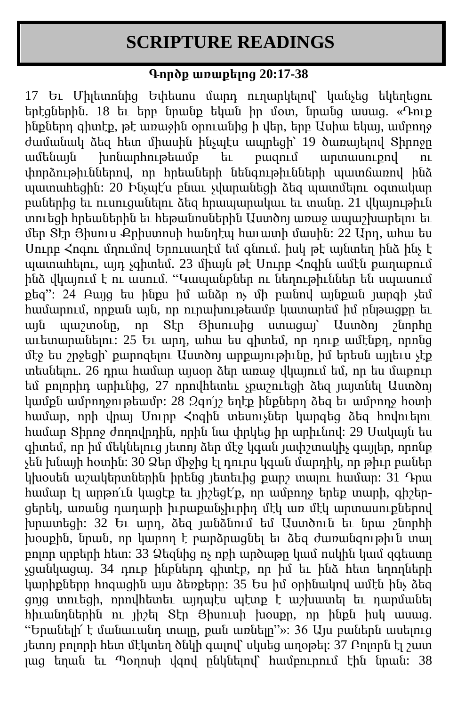# **SCRIPTURE READINGS**

## **Գործք առաքելոց 20:17-38**

17 Եւ Միլետոնից Եփեսոս մարդ ուղարկելով՝ կանչեց եկեղեցու երէցներին. 18 եւ երբ նրանք եկան իր մօտ, նրանց ասաց. «Դուք ինքներդ գիտէք, թէ առաջին օրուանից ի վեր, երբ Ասիա եկայ, ամբողջ ժամանակ ձեզ հետ միասին ինչպէս ապրեցի՝ 19 ծառայելով Տիրոջը ամենայն խոնարհութեամբ եւ բազում արտասուքով ու փորձութիւններով, որ հրեաների նենգութիւնների պատճառով ինձ պատահեցին: 20 Ինչպէ՜ս բնաւ չվարանեցի ձեզ պատմելու օգտակար բաներից եւ ուսուցանելու ձեզ հրապարակաւ եւ տանը. 21 վկայութիւն տուեցի հրեաներին եւ հեթանոսներին Աստծոյ առաջ ապաշխարելու եւ մեր Տէր Յիսուս Քրիստոսի հանդէպ հաւատի մասին: 22 Արդ, ահա ես Սուրբ Հոգու մղումով Երուսաղէմ եմ գնում. իսկ թէ այնտեղ ինձ ինչ է պատահելու, այդ չգիտեմ. 23 միայն թէ Սուրբ  $\zeta$ ոգին ամէն քաղաքում ինձ վկայում է ու ասում. "Կապանքներ ու նեղութիւններ են սպասում քեզ": 24 Բայց ես ինքս իմ անձը ոչ մի բանով այնքան յարգի չեմ համարում, որքան այն, որ ուրախութեամբ կատարեմ իմ ընթացքը եւ այն պաշտօնը, որ Տէր Յիսուսից ստացայ՝ Աստծոյ շնորհը  $\mu$ լետարանելու: 25 Եւ արդ, ահա ես գիտեմ, որ դուք ամէնքդ, որոնց մէջ ես շրջեցի՝ քարոզելու Աստծոյ արքայութիւնը, իմ երեսն այլեւս չէք տեսնելու. 26 դրա համար այսօր ձեր առաջ վկայում եմ, որ ես մաքուր եմ բոլորիդ արիւնից, 27 որովհետեւ չքաշուեցի ձեզ յայտնել Աստծոյ կամքն ամբողջութեամբ: 28 Զգո՛յշ եղէք ինքներդ ձեզ եւ ամբողջ հօտի համար, որի վրայ Սուրբ Հոգին տեսուչներ կարգեց ձեզ հովուելու համար Տիրոջ ժողովրդին, որին նա փրկեց իր արիւնով: 29 Սակայն ես գիտեմ, որ իմ մեկնելուց յետոյ ձեր մէջ կգան յափշտակիչ գայլեր, որոնք չեն խնայի հօտին: 30 Ձեր միջից էլ դուրս կգան մարդիկ, որ թիւր բաներ կխօսեն աշակերտներին իրենց յետեւից քարշ տալու համար: 31 Դրա համար էլ արթո՛ւն կացէք եւ յիշեցէ՛ք, որ ամբողջ երեք տարի, գիշերցերեկ, առանց դադարի իւրաքանչիւրիդ մէկ առ մէկ արտասուքներով խրատեցի: 32 Եւ արդ, ձեզ յանձնում եմ Աստծուն եւ նրա շնորհի խօսքին, նրան, որ կարող է բարձրացնել եւ ձեզ ժառանգութիւն տալ բոլոր սրբերի հետ: 33 Ձեզնից ոչ ոքի արծաթը կամ ոսկին կամ զգեստը չցանկացայ. 34 դուք ինքներդ գիտէք, որ իմ եւ ինձ հետ եղողների կարիքները հոգացին այս ձեռքերը: 35 Ես իմ օրինակով ամէն ինչ ձեզ ցոյց տուեցի, որովհետեւ այդպէս պէտք է աշխատել եւ դարմանել հիւանդներին ու յիշել Տէր Յիսուսի խօսքը, որ ինքն իսկ ասաց. "Երանելի՜ է մանաւանդ տալը, քան առնելը"»: 36 Այս բաներն ասելուց յետոյ բոլորի հետ մէկտեղ ծնկի գալով՝ սկսեց աղօթել: 37 Բոլորն էլ շատ լաց եղան եւ Պօղոսի վզով ընկնելով՝ համբուրում էին նրան: 38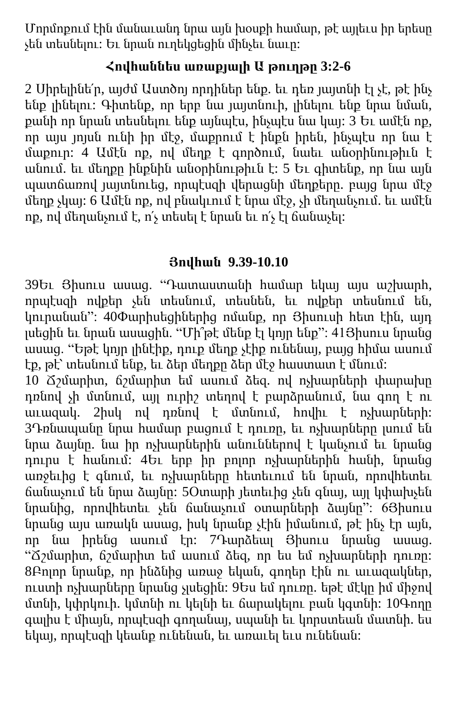Մորմոքում էին մանաւանդ նրա այն խօսքի համար, թէ այլեւս իր երեսը չեն տեսնելու: Եւ նրան ուղեկցեցին մինչեւ նաւը:

## **Հովհաննես առաքյալի Ա թուղթը 3:2-6**

2 Սիրելինե՛ր, այժմ Աստծոյ որդիներ ենք. եւ դեռ յայտնի էլ չէ, թէ ինչ ենք լինելու: Գիտենք, որ երբ նա յայտնուի, լինելու ենք նրա նման, քանի որ նրան տեսնելու ենք այնպէս, ինչպէս նա կայ: 3 Եւ ամէն ոք, որ այս յոյսն ունի իր մէջ, մաքրում է ինքն իրեն, ինչպէս որ նա է մաքուր: 4 Ամէն ոք, ով մեղք է գործում, նաեւ անօրինութիւն է անում. եւ մեղքը ինքնին անօրինութիւն է: 5 Եւ գիտենք, որ նա այն պատճառով յայտնուեց, որպէսզի վերացնի մեղքերը. բայց նրա մէջ մեղք չկայ: 6 Ամէն ոք, ով բնակւում է նրա մէջ, չի մեղանչում. եւ ամէն ոք, ով մեղանչում է, ո՛չ տեսել է նրան եւ ո՛չ էլ ճանաչել:

## **Յովհան 9.39-10.10**

39Եւ Յիսուս ասաց. "Դատաստանի համար եկայ այս աշխարհ, որպէսզի ովքեր չեն տեսնում, տեսնեն, եւ ովքեր տեսնում են, կուրանան": 40Փարիսեցիներից ոմանք, որ Յիսուսի հետ էին, այդ լսեցին եւ նրան ասացին. "Մի՞թէ մենք էլ կոյր ենք": 41Յիսուս նրանց ասաց. "Եթէ կոյր լինէիք, դուք մեղք չէիք ունենայ, բայց հիմա ասում էք, թէ՝ տեսնում ենք, եւ ձեր մեղքը ձեր մէջ հաստատ է մնում:

10 Ճշմարիտ, ճշմարիտ եմ ասում ձեզ. ով ոչխարների փարախը դռնով չի մտնում, այլ ուրիշ տեղով է բարձրանում, նա գող է ու աւազակ. 2իսկ ով դռնով է մտնում, հովիւ է ոչխարների: 3Դռնապանը նրա համար բացում է դուռը, եւ ոչխարները լսում են նրա ձայնը. նա իր ոչխարներին անուններով է կանչում եւ նրանց դուրս է հանում: 4Եւ երբ իր բոլոր ոչխարներին հանի, նրանց առջեւից է գնում, եւ ոչխարները հետեւում են նրան, որովհետեւ ճանաչում են նրա ձայնը: 5Օտարի յետեւից չեն գնայ, այլ կփախչեն նրանից, որովհետեւ չեն ճանաչում օտարների ձայնը": 6Յիսուս նրանց այս առակն ասաց, իսկ նրանք չէին իմանում, թէ ինչ էր այն, որ նա իրենց ասում էր: 7Դարձեալ Յիսուս նրանց ասաց. "Ճշմարիտ, ճշմարիտ եմ ասում ձեզ, որ ես եմ ոչխարների դուռը: 8Բոլոր նրանք, որ ինձնից առաջ եկան, գողեր էին ու աւազակներ, ուստի ոչխարները նրանց չլսեցին: 9Ես եմ դուռը. եթէ մէկը իմ միջով մտնի, կփրկուի. կմտնի ու կելնի եւ ճարակելու բան կգտնի: 10Գողը գալիս է միայն, որպէսզի գողանայ, սպանի եւ կորստեան մատնի. ես եկայ, որպէսզի կեանք ունենան, եւ առաւել եւս ունենան: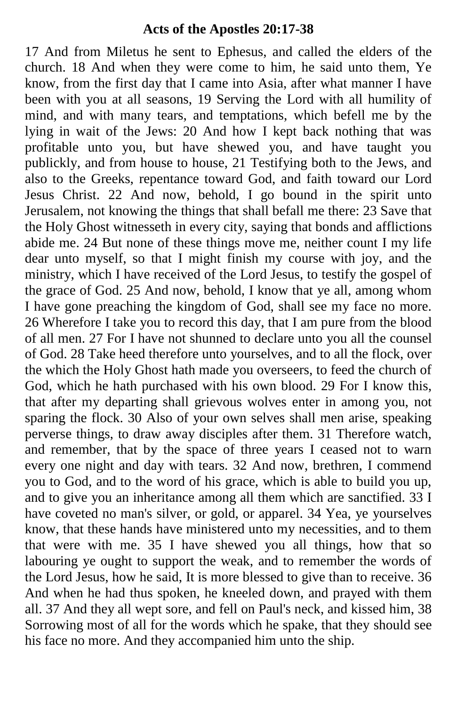## **Acts of the Apostles 20:17-38**

17 And from Miletus he sent to Ephesus, and called the elders of the church. 18 And when they were come to him, he said unto them, Ye know, from the first day that I came into Asia, after what manner I have been with you at all seasons, 19 Serving the Lord with all humility of mind, and with many tears, and temptations, which befell me by the lying in wait of the Jews: 20 And how I kept back nothing that was profitable unto you, but have shewed you, and have taught you publickly, and from house to house, 21 Testifying both to the Jews, and also to the Greeks, repentance toward God, and faith toward our Lord Jesus Christ. 22 And now, behold, I go bound in the spirit unto Jerusalem, not knowing the things that shall befall me there: 23 Save that the Holy Ghost witnesseth in every city, saying that bonds and afflictions abide me. 24 But none of these things move me, neither count I my life dear unto myself, so that I might finish my course with joy, and the ministry, which I have received of the Lord Jesus, to testify the gospel of the grace of God. 25 And now, behold, I know that ye all, among whom I have gone preaching the kingdom of God, shall see my face no more. 26 Wherefore I take you to record this day, that I am pure from the blood of all men. 27 For I have not shunned to declare unto you all the counsel of God. 28 Take heed therefore unto yourselves, and to all the flock, over the which the Holy Ghost hath made you overseers, to feed the church of God, which he hath purchased with his own blood. 29 For I know this, that after my departing shall grievous wolves enter in among you, not sparing the flock. 30 Also of your own selves shall men arise, speaking perverse things, to draw away disciples after them. 31 Therefore watch, and remember, that by the space of three years I ceased not to warn every one night and day with tears. 32 And now, brethren, I commend you to God, and to the word of his grace, which is able to build you up, and to give you an inheritance among all them which are sanctified. 33 I have coveted no man's silver, or gold, or apparel. 34 Yea, ye yourselves know, that these hands have ministered unto my necessities, and to them that were with me. 35 I have shewed you all things, how that so labouring ye ought to support the weak, and to remember the words of the Lord Jesus, how he said, It is more blessed to give than to receive. 36 And when he had thus spoken, he kneeled down, and prayed with them all. 37 And they all wept sore, and fell on Paul's neck, and kissed him, 38 Sorrowing most of all for the words which he spake, that they should see his face no more. And they accompanied him unto the ship.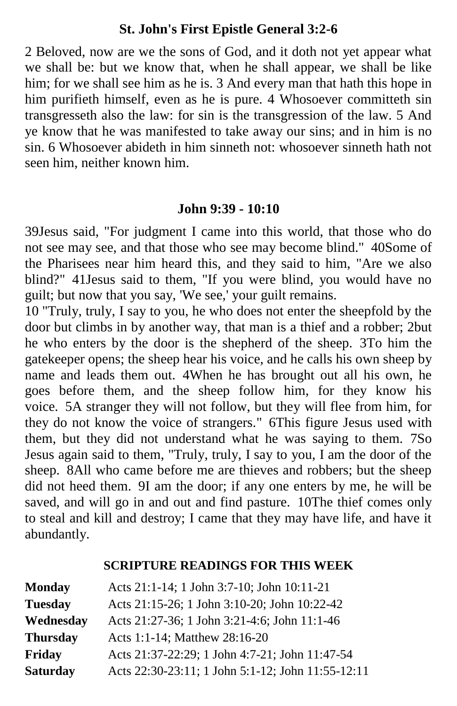## **St. John's First Epistle General 3:2-6**

2 Beloved, now are we the sons of God, and it doth not yet appear what we shall be: but we know that, when he shall appear, we shall be like him; for we shall see him as he is. 3 And every man that hath this hope in him purifieth himself, even as he is pure. 4 Whosoever committeth sin transgresseth also the law: for sin is the transgression of the law. 5 And ye know that he was manifested to take away our sins; and in him is no sin. 6 Whosoever abideth in him sinneth not: whosoever sinneth hath not seen him, neither known him.

#### **John 9:39 - 10:10**

39Jesus said, "For judgment I came into this world, that those who do not see may see, and that those who see may become blind." 40Some of the Pharisees near him heard this, and they said to him, "Are we also blind?" 41Jesus said to them, "If you were blind, you would have no guilt; but now that you say, 'We see,' your guilt remains.

10 "Truly, truly, I say to you, he who does not enter the sheepfold by the door but climbs in by another way, that man is a thief and a robber; 2but he who enters by the door is the shepherd of the sheep. 3To him the gatekeeper opens; the sheep hear his voice, and he calls his own sheep by name and leads them out. 4When he has brought out all his own, he goes before them, and the sheep follow him, for they know his voice. 5A stranger they will not follow, but they will flee from him, for they do not know the voice of strangers." 6This figure Jesus used with them, but they did not understand what he was saying to them. 7So Jesus again said to them, "Truly, truly, I say to you, I am the door of the sheep. 8All who came before me are thieves and robbers; but the sheep did not heed them. 9I am the door; if any one enters by me, he will be saved, and will go in and out and find pasture. 10The thief comes only to steal and kill and destroy; I came that they may have life, and have it abundantly.

#### **SCRIPTURE READINGS FOR THIS WEEK**

| <b>Monday</b>   | Acts 21:1-14; 1 John 3:7-10; John 10:11-21        |
|-----------------|---------------------------------------------------|
| <b>Tuesday</b>  | Acts 21:15-26; 1 John 3:10-20; John 10:22-42      |
| Wednesday       | Acts 21:27-36; 1 John 3:21-4:6; John 11:1-46      |
| <b>Thursday</b> | Acts 1:1-14; Matthew 28:16-20                     |
| Friday          | Acts 21:37-22:29; 1 John 4:7-21; John 11:47-54    |
| <b>Saturday</b> | Acts 22:30-23:11; 1 John 5:1-12; John 11:55-12:11 |